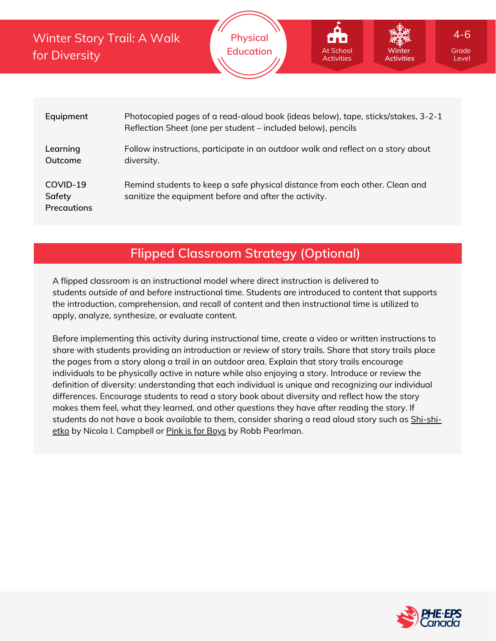Winter Story Trail: A Walk for Diversity

| Equipment                                | Photocopied pages of a read-aloud book (ideas below), tape, sticks/stakes, 3-2-1<br>Reflection Sheet (one per student – included below), pencils |
|------------------------------------------|--------------------------------------------------------------------------------------------------------------------------------------------------|
| Learning<br>Outcome                      | Follow instructions, participate in an outdoor walk and reflect on a story about<br>diversity.                                                   |
| COVID-19<br>Safety<br><b>Precautions</b> | Remind students to keep a safe physical distance from each other. Clean and<br>sanitize the equipment before and after the activity.             |

### **Flipped Classroom Strategy (Optional)**

A flipped classroom is an instructional model where direct instruction is delivered to students *outside of* and *before* instructional time. Students are introduced to content that supports the introduction, comprehension, and recall of content and then instructional time is utilized to apply, analyze, synthesize, or evaluate content.

Before implementing this activity during instructional time, create a video or written instructions to share with students providing an introduction or review of story trails. Share that story trails place the pages from a story along a trail in an outdoor area. Explain that story trails encourage individuals to be physically active in nature while also enjoying a story. Introduce or review the definition of diversity: understanding that each individual is unique and recognizing our individual differences. Encourage students to read a story book about diversity and reflect how the story makes them feel, what they learned, and other questions they have after reading the story. If students do not have a book available to them, consider sharing a read aloud story such as **Shi-shi-**etko by Nicola I. Campbell or Pink is for [Boys](https://www.youtube.com/watch?v=FNIQzpIRFXs) by Robb [Pearlman.](https://www.youtube.com/watch?v=Ha6vMDGmzYo)



Level

4-6

**Winter Activities**

At School Activities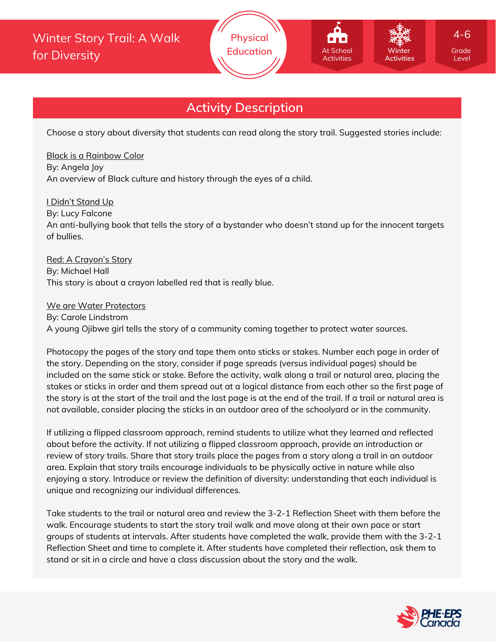Choose a story about diversity that students can read along the story trail. Suggested stories include:

#### Black is a [Rainbow](https://www.youtube.com/watch?v=bcGSGJHlYBw) Color

By: Angela Joy An overview of Black culture and history through the eyes of a child.

#### I Didn't [Stand](https://www.youtube.com/watch?v=wgKEq5eiMWM) Up

By: Lucy Falcone

An anti-bullying book that tells the story of a bystander who doesn't stand up for the innocent targets of bullies.

#### Red: A [Crayon's](https://www.youtube.com/watch?v=5uUykRjC0VE) Story

By: Michael Hall This story is about a crayon labelled red that is really blue.

#### We are Water [Protectors](https://www.youtube.com/watch?v=jqWTouyaQ-8)

By: Carole Lindstrom A young Ojibwe girl tells the story of a community coming together to protect water sources.

Photocopy the pages of the story and tape them onto sticks or stakes. Number each page in order of the story. Depending on the story, consider if page spreads (versus individual pages) should be included on the same stick or stake. Before the activity, walk along a trail or natural area, placing the stakes or sticks in order and them spread out at a logical distance from each other so the first page of the story is at the start of the trail and the last page is at the end of the trail. If a trail or natural area is not available, consider placing the sticks in an outdoor area of the schoolyard or in the community.

If utilizing a flipped classroom approach, remind students to utilize what they learned and reflected about before the activity. If not utilizing a flipped classroom approach, provide an introduction or review of story trails. Share that story trails place the pages from a story along a trail in an outdoor area. Explain that story trails encourage individuals to be physically active in nature while also enjoying a story. Introduce or review the definition of diversity: understanding that each individual is unique and recognizing our individual differences.

Take students to the trail or natural area and review the 3-2-1 Reflection Sheet with them before the walk. Encourage students to start the story trail walk and move along at their own pace or start groups of students at intervals. After students have completed the walk, provide them with the 3-2-1 Reflection Sheet and time to complete it. After students have completed their reflection, ask them to stand or sit in a circle and have a class discussion about the story and the walk.



Level

4-6

**Winter Activities**

At School Activities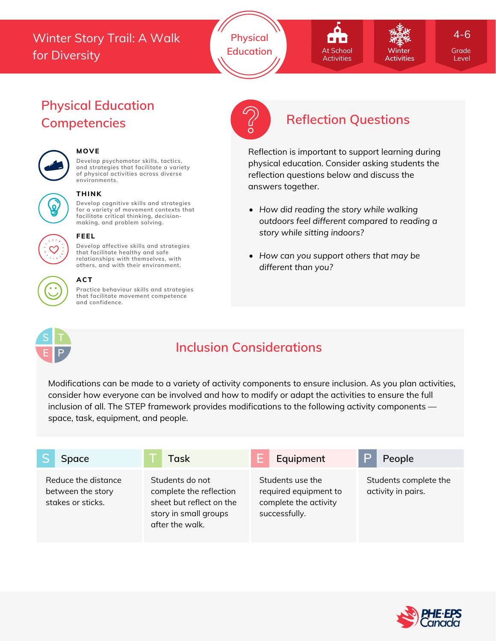## Winter Story Trail: A Walk for Diversity





**Winter Activities** 4-6

Level

# **Physical Education**



#### **MOVE**

**Develop psychomotor skills, tactics, and strategies that facilitate a variety of physical activities across diverse environments.**



#### **THINK**

**Develop cognitive skills and strategies for a variety of movement contexts that facilitate critical thinking, decision making, and problem solving.**



#### **FEEL**

**Develop affective skills and strategies that facilitate healthy and safe relationships with themselves, with others, and with their environment.**

#### **ACT**

**Practice behaviour skills and strategies that facilitate movement competence and confidence.**



# **Competencies Reflection Questions**

Reflection is important to support learning during physical education. Consider asking students the reflection questions below and discuss the answers together.

- *How did reading the story while walking outdoors feel different compared to reading a story while sitting indoors?*
- *How can you support others that may be different than you?*



# **Inclusion Considerations**

Modifications can be made to a variety of activity components to ensure inclusion. As you plan activities, consider how everyone can be involved and how to modify or adapt the activities to ensure the full inclusion of all. The STEP framework provides modifications to the following activity components space, task, equipment, and people.

| <b>Space</b>                                                  | <b>Task</b>                                                                                                        | Equipment                                                                           | People                                      |
|---------------------------------------------------------------|--------------------------------------------------------------------------------------------------------------------|-------------------------------------------------------------------------------------|---------------------------------------------|
| Reduce the distance<br>between the story<br>stakes or sticks. | Students do not<br>complete the reflection<br>sheet but reflect on the<br>story in small groups<br>after the walk. | Students use the<br>required equipment to<br>complete the activity<br>successfully. | Students complete the<br>activity in pairs. |

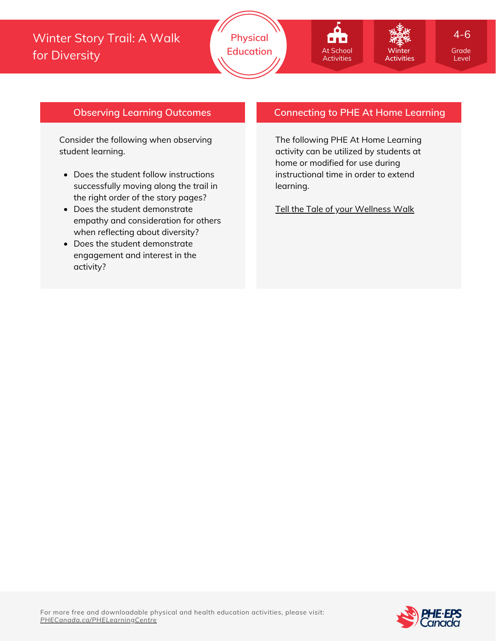## Winter Story Trail: A Walk for Diversity

# **Winter Activities**

Level 4-6

#### **Observing Learning Outcomes**

Consider the following when observing student learning.

- Does the student follow instructions successfully moving along the trail in the right order of the story pages?
- Does the student demonstrate empathy and consideration for others when reflecting about diversity?
- Does the student demonstrate engagement and interest in the activity?

#### **Connecting to PHE At Home Learning**

The following PHE At Home Learning activity can be utilized by students at home or modified for use during instructional time in order to extend learning.

At School **Activities** 

**BAB** 

Tell the Tale of your [Wellness](https://phecanada.ca/sites/default/files/content/docs/Home%20Learning%20Resource/4-6/Emotional%20Well-Being/4-6%20EW_Tell%20the%20Tale%20of%20your%20Wellness%20Walk.pdf) Walk